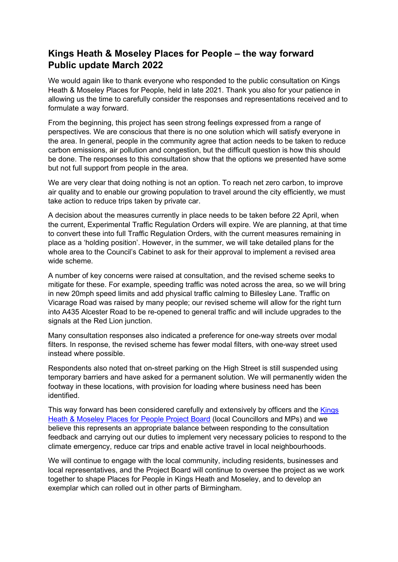# **Kings Heath & Moseley Places for People – the way forward Public update March 2022**

We would again like to thank everyone who responded to the public consultation on Kings Heath & Moseley Places for People, held in late 2021. Thank you also for your patience in allowing us the time to carefully consider the responses and representations received and to formulate a way forward.

From the beginning, this project has seen strong feelings expressed from a range of perspectives. We are conscious that there is no one solution which will satisfy everyone in the area. In general, people in the community agree that action needs to be taken to reduce carbon emissions, air pollution and congestion, but the difficult question is how this should be done. The responses to this consultation show that the options we presented have some but not full support from people in the area.

We are very clear that doing nothing is not an option. To reach net zero carbon, to improve air quality and to enable our growing population to travel around the city efficiently, we must take action to reduce trips taken by private car.

A decision about the measures currently in place needs to be taken before 22 April, when the current, Experimental Traffic Regulation Orders will expire. We are planning, at that time to convert these into full Traffic Regulation Orders, with the current measures remaining in place as a 'holding position'. However, in the summer, we will take detailed plans for the whole area to the Council's Cabinet to ask for their approval to implement a revised area wide scheme.

A number of key concerns were raised at consultation, and the revised scheme seeks to mitigate for these. For example, speeding traffic was noted across the area, so we will bring in new 20mph speed limits and add physical traffic calming to Billesley Lane. Traffic on Vicarage Road was raised by many people; our revised scheme will allow for the right turn into A435 Alcester Road to be re-opened to general traffic and will include upgrades to the signals at the Red Lion junction.

Many consultation responses also indicated a preference for one-way streets over modal filters. In response, the revised scheme has fewer modal filters, with one-way street used instead where possible.

Respondents also noted that on-street parking on the High Street is still suspended using temporary barriers and have asked for a permanent solution. We will permanently widen the footway in these locations, with provision for loading where business need has been identified.

This way forward has been considered carefully and extensively by officers and the **Kings** [Heath & Moseley Places for People Project Board](https://www.birmingham.gov.uk/news/article/879/making_low_traffic_neighbourhoods_work_for_all) (local Councillors and MPs) and we believe this represents an appropriate balance between responding to the consultation feedback and carrying out our duties to implement very necessary policies to respond to the climate emergency, reduce car trips and enable active travel in local neighbourhoods.

We will continue to engage with the local community, including residents, businesses and local representatives, and the Project Board will continue to oversee the project as we work together to shape Places for People in Kings Heath and Moseley, and to develop an exemplar which can rolled out in other parts of Birmingham.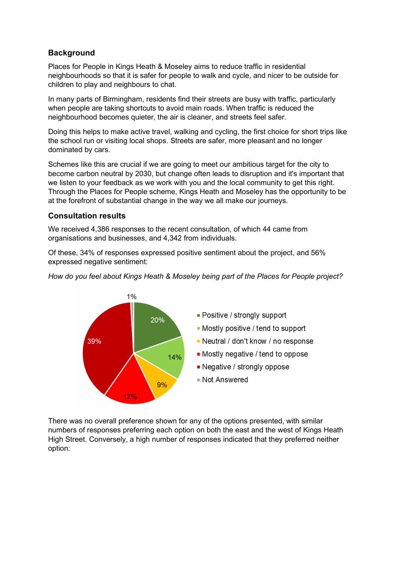# **Background**

Places for People in Kings Heath & Moseley aims to reduce traffic in residential neighbourhoods so that it is safer for people to walk and cycle, and nicer to be outside for children to play and neighbours to chat.

In many parts of Birmingham, residents find their streets are busy with traffic, particularly when people are taking shortcuts to avoid main roads. When traffic is reduced the neighbourhood becomes quieter, the air is cleaner, and streets feel safer.

Doing this helps to make active travel, walking and cycling, the first choice for short trips like the school run or visiting local shops. Streets are safer, more pleasant and no longer dominated by cars.

Schemes like this are crucial if we are going to meet our ambitious target for the city to become carbon neutral by 2030, but change often leads to disruption and it's important that we listen to your feedback as we work with you and the local community to get this right. Through the Places for People scheme, Kings Heath and Moseley has the opportunity to be at the forefront of substantial change in the way we all make our journeys.

### **Consultation results**

We received 4,386 responses to the recent consultation, of which 44 came from organisations and businesses, and 4,342 from individuals.

Of these, 34% of responses expressed positive sentiment about the project, and 56% expressed negative sentiment:

*How do you feel about Kings Heath & Moseley being part of the Places for People project?*



There was no overall preference shown for any of the options presented, with similar numbers of responses preferring each option on both the east and the west of Kings Heath High Street. Conversely, a high number of responses indicated that they preferred neither option: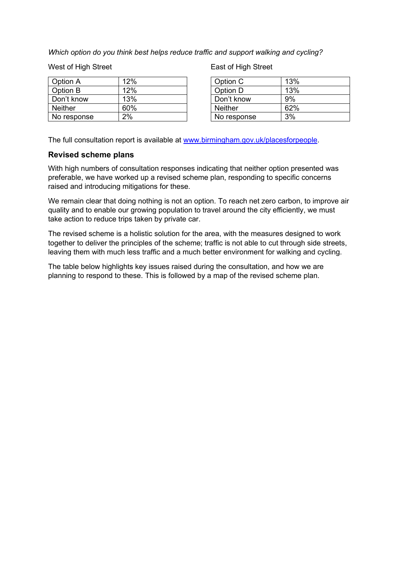*Which option do you think best helps reduce traffic and support walking and cycling?*

West of High Street

| Option A       | 12% |
|----------------|-----|
| Option B       | 12% |
| Don't know     | 13% |
| <b>Neither</b> | 60% |
| No response    | 2%  |

East of High Street

| Option C       | 13% |
|----------------|-----|
| Option D       | 13% |
| Don't know     | 9%  |
| <b>Neither</b> | 62% |
| No response    | 3%  |

The full consultation report is available at [www.birmingham.gov.uk/placesforpeople.](http://www.birmingham.gov.uk/placesforpeople)

### **Revised scheme plans**

With high numbers of consultation responses indicating that neither option presented was preferable, we have worked up a revised scheme plan, responding to specific concerns raised and introducing mitigations for these.

We remain clear that doing nothing is not an option. To reach net zero carbon, to improve air quality and to enable our growing population to travel around the city efficiently, we must take action to reduce trips taken by private car.

The revised scheme is a holistic solution for the area, with the measures designed to work together to deliver the principles of the scheme; traffic is not able to cut through side streets, leaving them with much less traffic and a much better environment for walking and cycling.

The table below highlights key issues raised during the consultation, and how we are planning to respond to these. This is followed by a map of the revised scheme plan.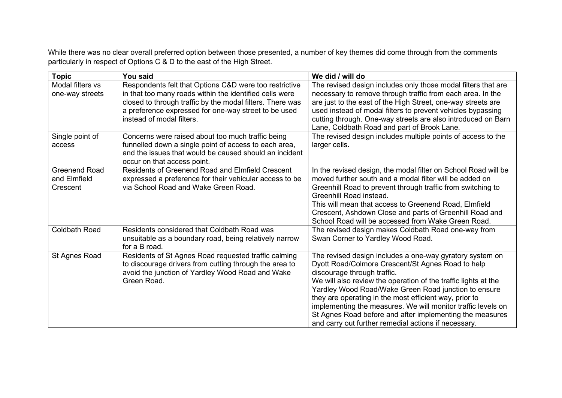While there was no clear overall preferred option between those presented, a number of key themes did come through from the comments particularly in respect of Options C & D to the east of the High Street.

| <b>Topic</b>                                     | You said                                                                                                                                                                                                                                                            | We did / will do                                                                                                                                                                                                                                                                                                                                                                                                                                                                                                     |
|--------------------------------------------------|---------------------------------------------------------------------------------------------------------------------------------------------------------------------------------------------------------------------------------------------------------------------|----------------------------------------------------------------------------------------------------------------------------------------------------------------------------------------------------------------------------------------------------------------------------------------------------------------------------------------------------------------------------------------------------------------------------------------------------------------------------------------------------------------------|
| Modal filters vs<br>one-way streets              | Respondents felt that Options C&D were too restrictive<br>in that too many roads within the identified cells were<br>closed to through traffic by the modal filters. There was<br>a preference expressed for one-way street to be used<br>instead of modal filters. | The revised design includes only those modal filters that are<br>necessary to remove through traffic from each area. In the<br>are just to the east of the High Street, one-way streets are<br>used instead of modal filters to prevent vehicles bypassing<br>cutting through. One-way streets are also introduced on Barn<br>Lane, Coldbath Road and part of Brook Lane.                                                                                                                                            |
| Single point of<br>access                        | Concerns were raised about too much traffic being<br>funnelled down a single point of access to each area,<br>and the issues that would be caused should an incident<br>occur on that access point.                                                                 | The revised design includes multiple points of access to the<br>larger cells.                                                                                                                                                                                                                                                                                                                                                                                                                                        |
| <b>Greenend Road</b><br>and Elmfield<br>Crescent | <b>Residents of Greenend Road and Elmfield Crescent</b><br>expressed a preference for their vehicular access to be<br>via School Road and Wake Green Road.                                                                                                          | In the revised design, the modal filter on School Road will be<br>moved further south and a modal filter will be added on<br>Greenhill Road to prevent through traffic from switching to<br>Greenhill Road instead.<br>This will mean that access to Greenend Road, Elmfield<br>Crescent, Ashdown Close and parts of Greenhill Road and<br>School Road will be accessed from Wake Green Road.                                                                                                                        |
| <b>Coldbath Road</b>                             | Residents considered that Coldbath Road was<br>unsuitable as a boundary road, being relatively narrow<br>for a B road.                                                                                                                                              | The revised design makes Coldbath Road one-way from<br>Swan Corner to Yardley Wood Road.                                                                                                                                                                                                                                                                                                                                                                                                                             |
| St Agnes Road                                    | Residents of St Agnes Road requested traffic calming<br>to discourage drivers from cutting through the area to<br>avoid the junction of Yardley Wood Road and Wake<br>Green Road.                                                                                   | The revised design includes a one-way gyratory system on<br>Dyott Road/Colmore Crescent/St Agnes Road to help<br>discourage through traffic.<br>We will also review the operation of the traffic lights at the<br>Yardley Wood Road/Wake Green Road junction to ensure<br>they are operating in the most efficient way, prior to<br>implementing the measures. We will monitor traffic levels on<br>St Agnes Road before and after implementing the measures<br>and carry out further remedial actions if necessary. |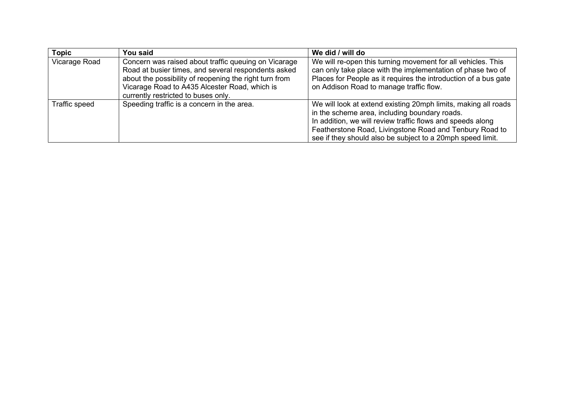| <b>Topic</b>  | You said                                                                                                                                                                                                                                                      | We did / will do                                                                                                                                                                                                                                                                                       |
|---------------|---------------------------------------------------------------------------------------------------------------------------------------------------------------------------------------------------------------------------------------------------------------|--------------------------------------------------------------------------------------------------------------------------------------------------------------------------------------------------------------------------------------------------------------------------------------------------------|
| Vicarage Road | Concern was raised about traffic queuing on Vicarage<br>Road at busier times, and several respondents asked<br>about the possibility of reopening the right turn from<br>Vicarage Road to A435 Alcester Road, which is<br>currently restricted to buses only. | We will re-open this turning movement for all vehicles. This<br>can only take place with the implementation of phase two of<br>Places for People as it requires the introduction of a bus gate<br>on Addison Road to manage traffic flow.                                                              |
| Traffic speed | Speeding traffic is a concern in the area.                                                                                                                                                                                                                    | We will look at extend existing 20mph limits, making all roads<br>in the scheme area, including boundary roads.<br>In addition, we will review traffic flows and speeds along<br>Featherstone Road, Livingstone Road and Tenbury Road to<br>see if they should also be subject to a 20mph speed limit. |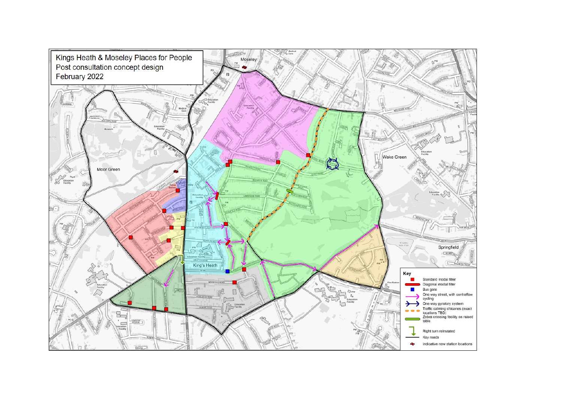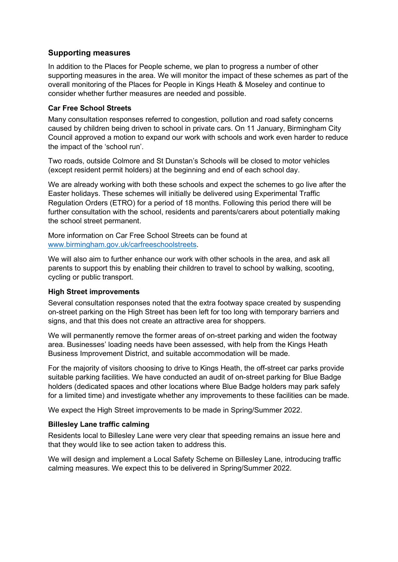## **Supporting measures**

In addition to the Places for People scheme, we plan to progress a number of other supporting measures in the area. We will monitor the impact of these schemes as part of the overall monitoring of the Places for People in Kings Heath & Moseley and continue to consider whether further measures are needed and possible.

#### **Car Free School Streets**

Many consultation responses referred to congestion, pollution and road safety concerns caused by children being driven to school in private cars. On 11 January, Birmingham City Council approved a motion to expand our work with schools and work even harder to reduce the impact of the 'school run'.

Two roads, outside Colmore and St Dunstan's Schools will be closed to motor vehicles (except resident permit holders) at the beginning and end of each school day.

We are already working with both these schools and expect the schemes to go live after the Easter holidays. These schemes will initially be delivered using Experimental Traffic Regulation Orders (ETRO) for a period of 18 months. Following this period there will be further consultation with the school, residents and parents/carers about potentially making the school street permanent.

More information on Car Free School Streets can be found at [www.birmingham.gov.uk/carfreeschoolstreets.](http://www.birmingham.gov.uk/carfreeschoolstreets)

We will also aim to further enhance our work with other schools in the area, and ask all parents to support this by enabling their children to travel to school by walking, scooting, cycling or public transport.

#### **High Street improvements**

Several consultation responses noted that the extra footway space created by suspending on-street parking on the High Street has been left for too long with temporary barriers and signs, and that this does not create an attractive area for shoppers.

We will permanently remove the former areas of on-street parking and widen the footway area. Businesses' loading needs have been assessed, with help from the Kings Heath Business Improvement District, and suitable accommodation will be made.

For the majority of visitors choosing to drive to Kings Heath, the off-street car parks provide suitable parking facilities. We have conducted an audit of on-street parking for Blue Badge holders (dedicated spaces and other locations where Blue Badge holders may park safely for a limited time) and investigate whether any improvements to these facilities can be made.

We expect the High Street improvements to be made in Spring/Summer 2022.

### **Billesley Lane traffic calming**

Residents local to Billesley Lane were very clear that speeding remains an issue here and that they would like to see action taken to address this.

We will design and implement a Local Safety Scheme on Billesley Lane, introducing traffic calming measures. We expect this to be delivered in Spring/Summer 2022.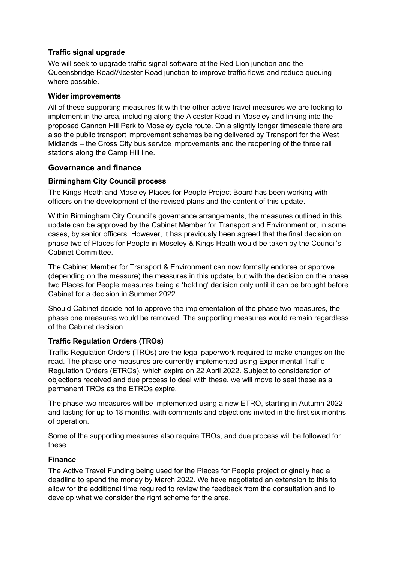#### **Traffic signal upgrade**

We will seek to upgrade traffic signal software at the Red Lion junction and the Queensbridge Road/Alcester Road junction to improve traffic flows and reduce queuing where possible.

#### **Wider improvements**

All of these supporting measures fit with the other active travel measures we are looking to implement in the area, including along the Alcester Road in Moseley and linking into the proposed Cannon Hill Park to Moseley cycle route. On a slightly longer timescale there are also the public transport improvement schemes being delivered by Transport for the West Midlands – the Cross City bus service improvements and the reopening of the three rail stations along the Camp Hill line.

### **Governance and finance**

### **Birmingham City Council process**

The Kings Heath and Moseley Places for People Project Board has been working with officers on the development of the revised plans and the content of this update.

Within Birmingham City Council's governance arrangements, the measures outlined in this update can be approved by the Cabinet Member for Transport and Environment or, in some cases, by senior officers. However, it has previously been agreed that the final decision on phase two of Places for People in Moseley & Kings Heath would be taken by the Council's Cabinet Committee.

The Cabinet Member for Transport & Environment can now formally endorse or approve (depending on the measure) the measures in this update, but with the decision on the phase two Places for People measures being a 'holding' decision only until it can be brought before Cabinet for a decision in Summer 2022.

Should Cabinet decide not to approve the implementation of the phase two measures, the phase one measures would be removed. The supporting measures would remain regardless of the Cabinet decision.

### **Traffic Regulation Orders (TROs)**

Traffic Regulation Orders (TROs) are the legal paperwork required to make changes on the road. The phase one measures are currently implemented using Experimental Traffic Regulation Orders (ETROs), which expire on 22 April 2022. Subject to consideration of objections received and due process to deal with these, we will move to seal these as a permanent TROs as the ETROs expire.

The phase two measures will be implemented using a new ETRO, starting in Autumn 2022 and lasting for up to 18 months, with comments and objections invited in the first six months of operation.

Some of the supporting measures also require TROs, and due process will be followed for these.

### **Finance**

The Active Travel Funding being used for the Places for People project originally had a deadline to spend the money by March 2022. We have negotiated an extension to this to allow for the additional time required to review the feedback from the consultation and to develop what we consider the right scheme for the area.